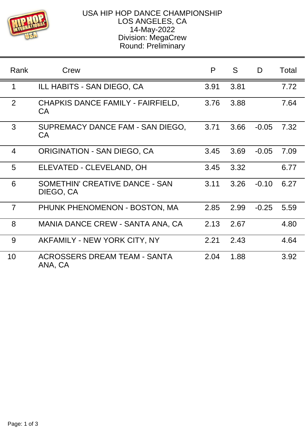

## USA HIP HOP DANCE CHAMPIONSHIP LOS ANGELES, CA 14-May-2022 Division: MegaCrew Round: Preliminary

| Rank           | Crew                                           | P    | S.   | D       | Total |
|----------------|------------------------------------------------|------|------|---------|-------|
| 1              | ILL HABITS - SAN DIEGO, CA                     | 3.91 | 3.81 |         | 7.72  |
| $\overline{2}$ | CHAPKIS DANCE FAMILY - FAIRFIELD,<br><b>CA</b> | 3.76 | 3.88 |         | 7.64  |
| 3              | SUPREMACY DANCE FAM - SAN DIEGO,<br><b>CA</b>  | 3.71 | 3.66 | $-0.05$ | 7.32  |
| $\overline{4}$ | <b>ORIGINATION - SAN DIEGO, CA</b>             | 3.45 | 3.69 | $-0.05$ | 7.09  |
| 5              | ELEVATED - CLEVELAND, OH                       | 3.45 | 3.32 |         | 6.77  |
| 6              | SOMETHIN' CREATIVE DANCE - SAN<br>DIEGO, CA    | 3.11 | 3.26 | $-0.10$ | 6.27  |
| $\overline{7}$ | PHUNK PHENOMENON - BOSTON, MA                  | 2.85 | 2.99 | $-0.25$ | 5.59  |
| 8              | MANIA DANCE CREW - SANTA ANA, CA               | 2.13 | 2.67 |         | 4.80  |
| 9              | AKFAMILY - NEW YORK CITY, NY                   | 2.21 | 2.43 |         | 4.64  |
| 10             | ACROSSERS DREAM TEAM - SANTA<br>ANA, CA        | 2.04 | 1.88 |         | 3.92  |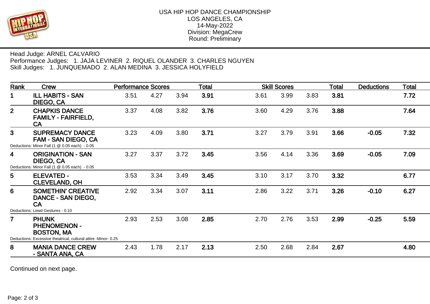

Head Judge: ARNEL CALVARIO Performance Judges: 1. JAJA LEVINER 2. RIQUEL OLANDER 3. CHARLES NGUYEN Skill Judges: 1. JUNQUEMADO 2. ALAN MEDINA 3. JESSICA HOLYFIELD

| Rank             | <b>Crew</b>                                                                                                                                                   | <b>Performance Scores</b> |      |      | <b>Total</b> | <b>Skill Scores</b> |      |      | <b>Total</b> | <b>Deductions</b> | <b>Total</b> |
|------------------|---------------------------------------------------------------------------------------------------------------------------------------------------------------|---------------------------|------|------|--------------|---------------------|------|------|--------------|-------------------|--------------|
| $\mathbf{1}$     | <b>ILL HABITS - SAN</b><br>DIEGO, CA                                                                                                                          | 3.51                      | 4.27 | 3.94 | 3.91         | 3.61                | 3.99 | 3.83 | 3.81         |                   | 7.72         |
| 2 <sup>1</sup>   | <b>CHAPKIS DANCE</b><br><b>FAMILY - FAIRFIELD,</b><br><b>CA</b>                                                                                               | 3.37                      | 4.08 | 3.82 | 3.76         | 3.60                | 4.29 | 3.76 | 3.88         |                   | 7.64         |
| 3 <sup>2</sup>   | <b>SUPREMACY DANCE</b><br><b>FAM - SAN DIEGO, CA</b><br>Deductions: Minor Fall (1 @ 0.05 each) - 0.05                                                         | 3.23                      | 4.09 | 3.80 | 3.71         | 3.27                | 3.79 | 3.91 | 3.66         | $-0.05$           | 7.32         |
| 4                | <b>ORIGINATION - SAN</b><br>DIEGO, CA<br>Deductions: Minor Fall (1 @ 0.05 each) - 0.05                                                                        | 3.27                      | 3.37 | 3.72 | 3.45         | 3.56                | 4.14 | 3.36 | 3.69         | $-0.05$           | 7.09         |
| 5                | <b>ELEVATED -</b><br><b>CLEVELAND, OH</b>                                                                                                                     | 3.53                      | 3.34 | 3.49 | 3.45         | 3.10                | 3.17 | 3.70 | 3.32         |                   | 6.77         |
| $6 \overline{6}$ | <b>SOMETHIN' CREATIVE</b><br>DANCE - SAN DIEGO,<br><b>CA</b>                                                                                                  | 2.92                      | 3.34 | 3.07 | 3.11         | 2.86                | 3.22 | 3.71 | 3.26         | $-0.10$           | 6.27         |
| $\overline{7}$   | Deductions: Lewd Gestures - 0.10<br><b>PHUNK</b><br><b>PHENOMENON -</b><br><b>BOSTON, MA</b><br>Deductions: Excessive theatrical, cultural attire -Minor-0.25 | 2.93                      | 2.53 | 3.08 | 2.85         | 2.70                | 2.76 | 3.53 | 2.99         | $-0.25$           | 5.59         |
| 8                | <b>MANIA DANCE CREW</b><br>- SANTA ANA, CA                                                                                                                    | 2.43                      | 1.78 | 2.17 | 2.13         | 2.50                | 2.68 | 2.84 | 2.67         |                   | 4.80         |

Continued on next page.